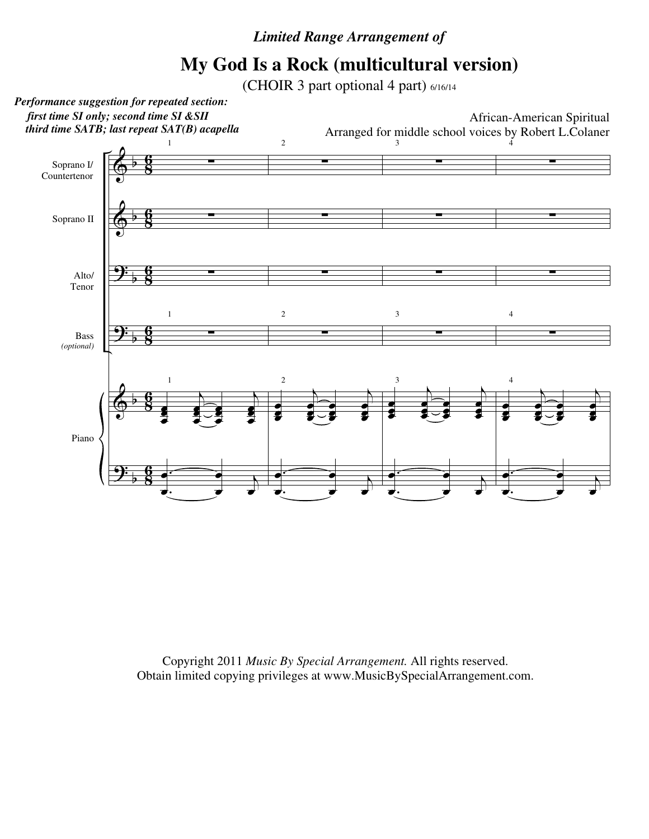## *Limited Range Arrangement of*

## **My God Is a Rock (multicultural version)**

(CHOIR 3 part optional 4 part) 6/16/14

*Performance suggestion for repeated section: third time SATB; last repeat SAT(B) acapella first time SI only; second time SI &SII*

African-American Spiritual Arranged for middle school voices by Robert L.Colaner



Copyright 2011 *Music By Special Arrangement.* All rights reserved. Obtain limited copying privileges at www.MusicBySpecialArrangement.com.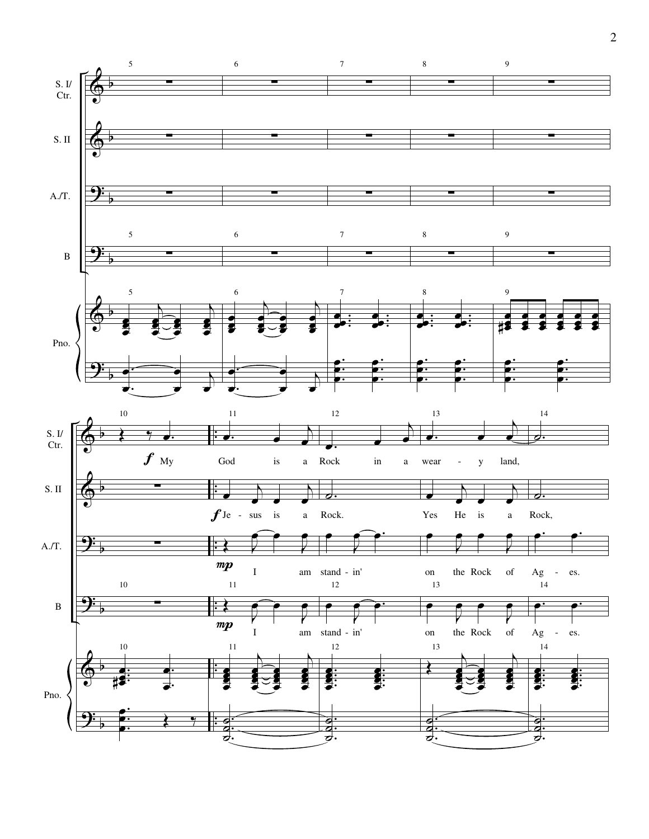

2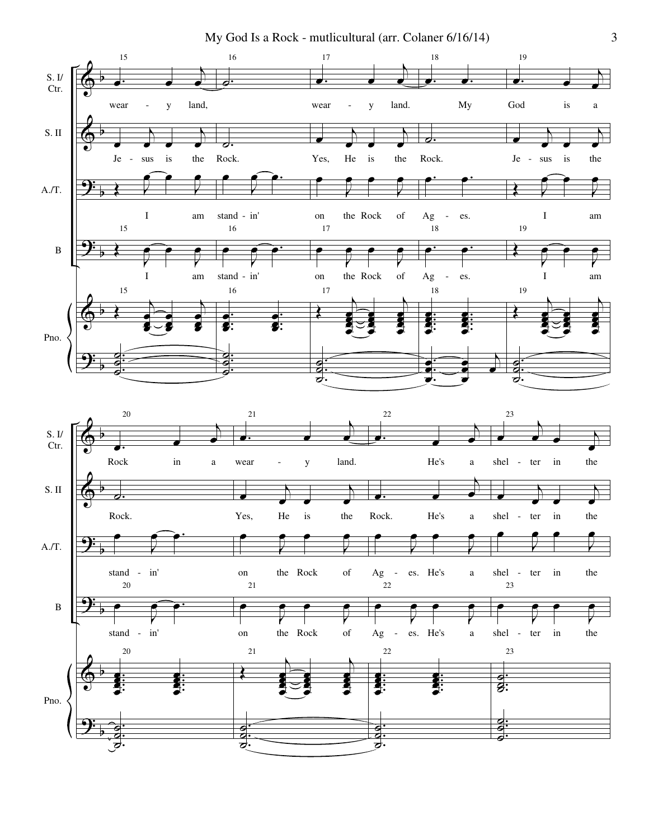$\Phi$  $\Phi$ <u>.</u> <u>.</u>  $\Phi$ <u>.</u> b b b b b b S. I/ Ctr. S. II A./T. B Pno. 15  $\overrightarrow{e}$  $\overline{A}$ œ wear - y land, œ  $\overline{A}$  $\frac{1}{\cdot}$  $\overline{A}$ œ Je - sus is the  $\overline{\mathbf{z}}$  $\widehat{\phantom{a}}$ J œ I am 15 Œ J  $\overline{\mathbf{e}^{\bullet}}$ J œ I am 15 Œ  $\overline{A}$ œ e<br>S œ œ e<br>S œ  $\overline{A}$ œ e<br>S ē . . . <u>ነበ</u>  $\overline{a}$  $\frac{1}{2}$ 16 ˙. ˙. Rock. œ J  $\widehat{\mathbf{e}}$ stand - in' 16 œ J  $\overline{\cdot\cdot\cdot}$ stand - in' 16 . . . œ œ œ . . . œ œ œ . . . ˙ ˙  $\bullet$ 17  $\bullet$ .  $\bullet$  $\overline{A}$ œ wear - y land. œ  $\overline{A}$  $\frac{1}{\cdot}$  $\overline{A}$ œ Yes, He is the œ J e<br>R J œ on the Rock of 17 œ J  $\overline{\bullet}$ J œ on the Rock of 17 Œ  $\overline{A}$ ee L ee<br>ee e<br>Loo œ ee L ee⁄ e<br>S ě<br>C  $\overline{A}$ ee L ee<br>ee e<br>Loo ě<br>C . . .  $\overline{\phantom{0}}$  $\frac{a}{d}$ 18 <u>e. e.</u> My ˙. Rock.  $\overrightarrow{e}$ Ag - es. 18 œ. œ. Ag - es. 18 . . . . œL ee<br>ee e<br>S ě<br>C . . . . œ L ee<br>ee e ě<br>C . . <u>:</u> œ e e í œ œ e e œ  $\overline{A}$ œ 19  $\overrightarrow{e}$ .  $\overrightarrow{e}$ j œ God is a œ  $\overline{A}$  $\overrightarrow{ }$  $\overline{A}$ œ Je - sus is the  $\leftrightarrow$ œ œ J œ I am 19 Œ J  $\overline{\mathbf{e}^{\bullet}}$ J œ I am 19 Œ  $\mathcal{A}$ œ L ee<br>ee e<br>S œ œ œ e ě<br>C  $\overline{A}$ œ L ee<br>ee e<br>S ě<br>C . . . ˙ ˙  $\overline{\mathcal{O}}$  $\Phi$  $\Phi$ <u>.</u> <u>?</u>  $\Phi$ <u>.</u> b b b b b b S. I/ Ctr. S. II A./T. B Pno. 20 œ. œ  $\overline{A}$ œ Rock in a ˙. Rock. œ ₹  $\widehat{\phantom{I}}$ stand - in' 20 œ J  $\overline{\cdot}$ stand - in' 20 . . . :<br>: ee L ee<br>ee e<br>Let ě<br>C . . . . œL œ e<br>S ĕ<br>Ö . . . ˙ ˙ ៍ $\mathbf{\Omega}$ 21  $\overline{\phantom{a}}$  $\overline{A}$ œ wear - y land. œ  $\overline{A}$  $\frac{1}{\cdot}$  $\overline{h}$ œ Yes, He is the œ J e e J œ on the Rock of 21 œ J  $\overline{\bullet}$ J œ on the Rock of 21 Œ  $\sharp$ ee L œ e<br>S œ ee" L œ e<br>S ĕ<br>Ö  $\overline{A}$ œ œ e ě<br>O . . . ˙ ˙ 귱. 22  $\bullet$   $\bullet$   $\bullet$  $\overline{A}$ œ He's a  $\overline{\phantom{a}}$  $\overline{A}$ œ Rock. He's a œ ₹ œ œ J œ Ag - es. He's a 22 œ J  $\overline{\bullet}$   $\overline{\bullet}$ J œ Ag - es. He's a 22 . . . :<br>: ee L ee<br>ee e<br>Let ě<br>C . . . :<br>: ee L ee<br>ee e<br>C ě<br>C . . . ˙ ˙ ິດ<br>O 23 œ  $\overline{A}$  $\mathbf{L}$  $\overline{N}$ œ shel - ter in the œ  $\overline{A}$  $\overline{\phantom{a}}$  $\overline{N}$ œ shel - ter in the œ J  $\overline{e}$ J œ shel - ter in the 23 œ J  $\overline{\bullet}$ J œ shel - ter in the 23 . . . ˙ ˙ ˙ . . . ˙ ˙  $\frac{1}{2}$ My God Is a Rock - mutlicultural (arr. Colaner 6/16/14) 3